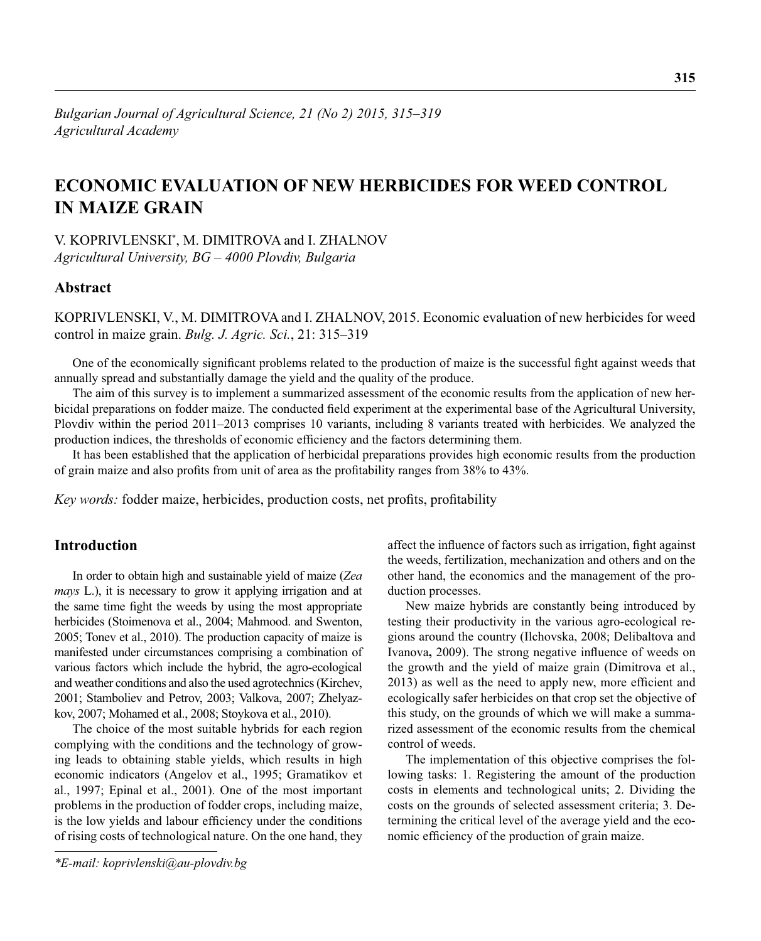# **ECONOMIC EVALUATION OF NEW HERBICIDES FOR WEED CONTROL IN MAIZE GRAIN**

V. KOPRIVLENSKI\* , M. DIMITROVA and I. ZHALNOV *Agricultural University, BG – 4000 Plovdiv, Bulgaria*

# **Abstract**

KOPRIVLENSKI, V., M. DIMITROVA and I. ZHALNOV, 2015. Economic evaluation of new herbicides for weed control in maize grain. *Bulg. J. Agric. Sci.*, 21: 315–319

One of the economically significant problems related to the production of maize is the successful fight against weeds that annually spread and substantially damage the yield and the quality of the produce.

The aim of this survey is to implement a summarized assessment of the economic results from the application of new herbicidal preparations on fodder maize. The conducted field experiment at the experimental base of the Agricultural University, Plovdiv within the period 2011–2013 comprises 10 variants, including 8 variants treated with herbicides. We analyzed the production indices, the thresholds of economic efficiency and the factors determining them.

It has been established that the application of herbicidal preparations provides high economic results from the production of grain maize and also profits from unit of area as the profitability ranges from 38% to 43%.

*Key words:* fodder maize, herbicides, production costs, net profits, profitability

# **Introduction**

In order to obtain high and sustainable yield of maize (*Zea mays* L.), it is necessary to grow it applying irrigation and at the same time fight the weeds by using the most appropriate herbicides (Stoimenova et al., 2004; Mahmood. and Swenton, 2005; Tonev et al., 2010). The production capacity of maize is manifested under circumstances comprising a combination of various factors which include the hybrid, the agro-ecological and weather conditions and also the used agrotechnics (Kirchev, 2001; Stamboliev and Petrov, 2003; Valkova, 2007; Zhelyazkov, 2007; Mohamed et al., 2008; Stoykova et al., 2010).

The choice of the most suitable hybrids for each region complying with the conditions and the technology of growing leads to obtaining stable yields, which results in high economic indicators (Angelov et al., 1995; Gramatikov et al., 1997; Epinal et al., 2001). One of the most important problems in the production of fodder crops, including maize, is the low yields and labour efficiency under the conditions of rising costs of technological nature. On the one hand, they

*\*E-mail: koprivlenski@au-plovdiv.bg*

affect the influence of factors such as irrigation, fight against the weeds, fertilization, mechanization and others and on the other hand, the economics and the management of the production processes.

New maize hybrids are constantly being introduced by testing their productivity in the various agro-ecological regions around the country (Ilchovska, 2008; Delibaltova and Ivanova, 2009). The strong negative influence of weeds on the growth and the yield of maize grain (Dimitrova et al., 2013) as well as the need to apply new, more efficient and ecologically safer herbicides on that crop set the objective of this study, on the grounds of which we will make a summarized assessment of the economic results from the chemical control of weeds.

The implementation of this objective comprises the following tasks: 1. Registering the amount of the production costs in elements and technological units; 2. Dividing the costs on the grounds of selected assessment criteria; 3. Determining the critical level of the average yield and the economic efficiency of the production of grain maize.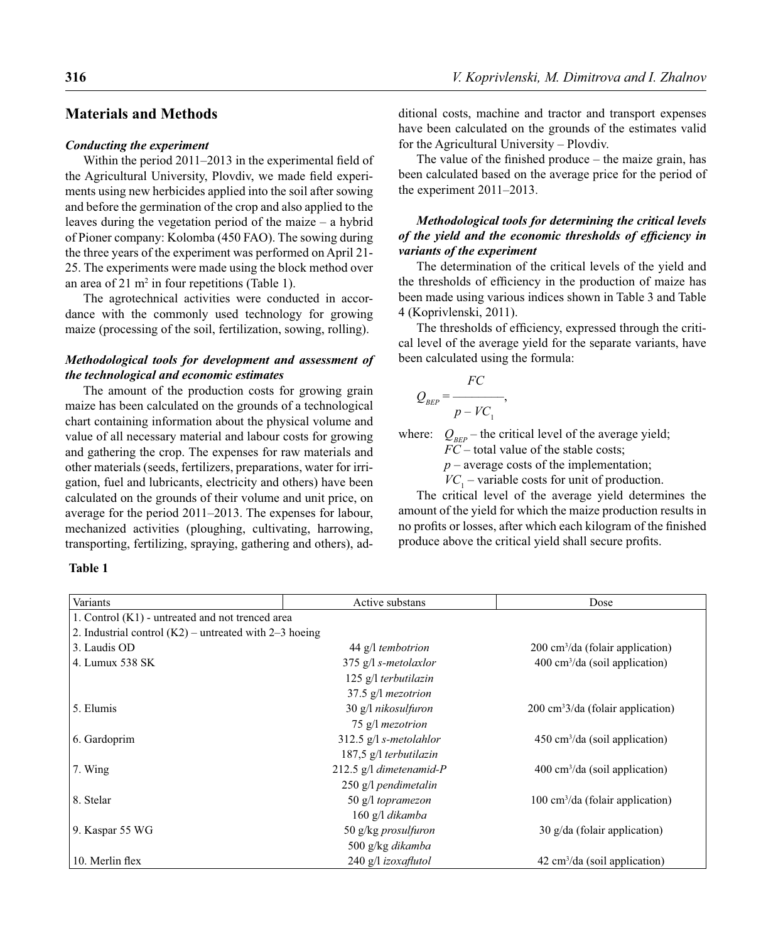## **Materials and Methods**

#### *Conducting the experiment*

Within the period  $2011-2013$  in the experimental field of the Agricultural University, Plovdiv, we made field experiments using new herbicides applied into the soil after sowing and before the germination of the crop and also applied to the leaves during the vegetation period of the maize – a hybrid of Pioner company: Kolomba (450 FAO). The sowing during the three years of the experiment was performed on April 21- 25. The experiments were made using the block method over an area of 21  $m^2$  in four repetitions (Table 1).

The agrotechnical activities were conducted in accordance with the commonly used technology for growing maize (processing of the soil, fertilization, sowing, rolling).

## *Methodological tools for development and assessment of the technological and economic estimates*

The amount of the production costs for growing grain maize has been calculated on the grounds of a technological chart containing information about the physical volume and value of all necessary material and labour costs for growing and gathering the crop. The expenses for raw materials and other materials (seeds, fertilizers, preparations, water for irrigation, fuel and lubricants, electricity and others) have been calculated on the grounds of their volume and unit price, on average for the period 2011–2013. The expenses for labour, mechanized activities (ploughing, cultivating, harrowing, transporting, fertilizing, spraying, gathering and others), ad-

#### **Table 1**

Variants Dose **Dose Active substans** Dose **Dose** 1. Control (K1) - untreated and not trenced area 2. Industrial control  $(K2)$  – untreated with 2–3 hoeing 3. Laudis OD 44 g/l *tembotrion*  $200 \text{ cm}^3/\text{da}$  (folair application) 4. Lumux 538 SK 375 g/l *s-metolaxlor*  $400 \text{ cm}^3/\text{da}$  (soil application) 125 g/l *terbutilazin* 37.5 g/l *mezotrion* 5. Elumis 30 g/l *nikosulfuron*  $200 \text{ cm}^3/da$  (folair application) 75 g/l *mezotrion* 6. Gardoprim 312.5 g/l *s-metolahlor*  $450 \text{ cm}^3/\text{da}$  (soil application) 187,5 g/l *terbutilazin* 7. Wing 212.5 g/l *dimetenamid-P*  $400 \text{ cm}^3/\text{da}$  (soil application) 250 g/l *pendimetalin* 8. Stelar 50 g/l *topramezon*  $100 \text{ cm}^3/\text{da}$  (folair application) 160 g/l *dikamba* 9. Kaspar 55 WG 50 g/kg *prosulfuron* 30 g/da (folair application) 500 g/kg *dikamba* 10. Merlin flex 240 g/l *izoxaflutol*  $42 \text{ cm}^3/\text{da}$  (soil application)

ditional costs, machine and tractor and transport expenses have been calculated on the grounds of the estimates valid for the Agricultural University – Plovdiv.

The value of the finished produce  $-$  the maize grain, has been calculated based on the average price for the period of the experiment 2011–2013.

## *Methodological tools for determining the critical levels*  of the yield and the economic thresholds of efficiency in *variants of the experiment*

The determination of the critical levels of the yield and the thresholds of efficiency in the production of maize has been made using various indices shown in Table 3 and Table 4 (Koprivlenski, 2011).

The thresholds of efficiency, expressed through the critical level of the average yield for the separate variants, have been calculated using the formula:

$$
Q_{BEP} = \frac{FC}{p - VC_1},
$$

where:  $Q_{BEP}$  – the critical level of the average yield;

*FC* – total value of the stable costs;

*p* – average costs of the implementation;

 $VC_1$  – variable costs for unit of production.

The critical level of the average yield determines the amount of the yield for which the maize production results in no profits or losses, after which each kilogram of the finished produce above the critical yield shall secure profits.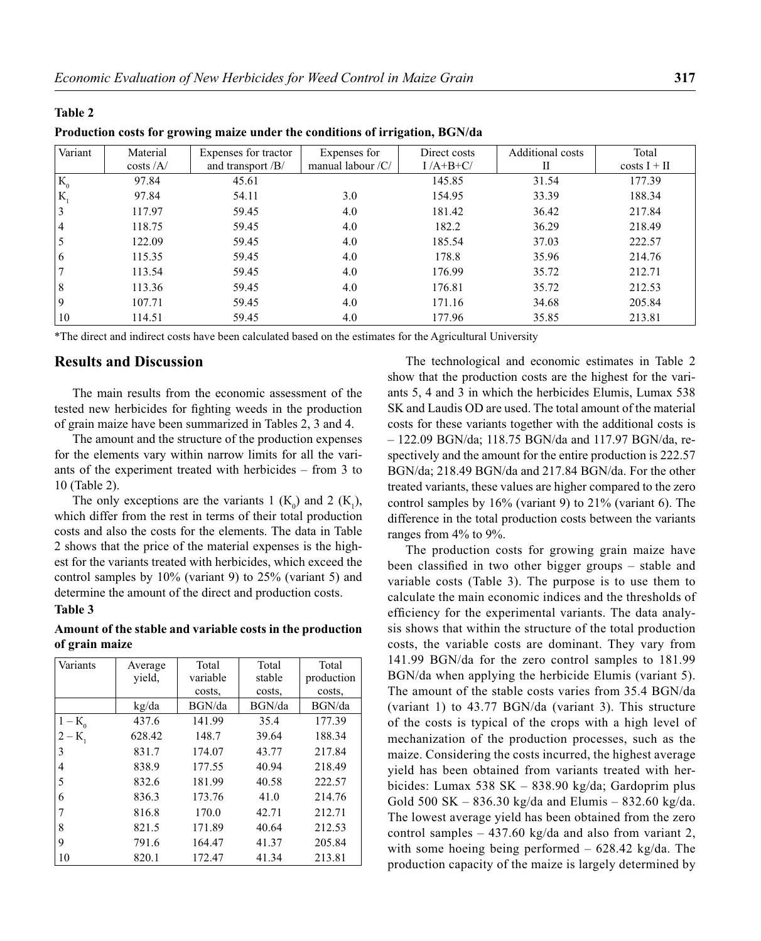## **Table 2**

**Production costs for growing maize under the conditions of irrigation, BGN/da**

| Variant        | Material<br>$\cos\left(\frac{A}{\epsilon}\right)$ | Expenses for tractor<br>and transport /B/ | Expenses for<br>manual labour /C/ | Direct costs<br>$I/A+B+C/$ | <b>Additional costs</b><br>П | Total<br>$costs I + II$ |
|----------------|---------------------------------------------------|-------------------------------------------|-----------------------------------|----------------------------|------------------------------|-------------------------|
| $K_0$          | 97.84                                             | 45.61                                     |                                   | 145.85                     | 31.54                        | 177.39                  |
| $K_{\rm s}$    | 97.84                                             | 54.11                                     | 3.0                               | 154.95                     | 33.39                        | 188.34                  |
| 3              | 117.97                                            | 59.45                                     | 4.0                               | 181.42                     | 36.42                        | 217.84                  |
| $\overline{4}$ | 118.75                                            | 59.45                                     | 4.0                               | 182.2                      | 36.29                        | 218.49                  |
| 5              | 122.09                                            | 59.45                                     | 4.0                               | 185.54                     | 37.03                        | 222.57                  |
| 6              | 115.35                                            | 59.45                                     | 4.0                               | 178.8                      | 35.96                        | 214.76                  |
|                | 113.54                                            | 59.45                                     | 4.0                               | 176.99                     | 35.72                        | 212.71                  |
| 8              | 113.36                                            | 59.45                                     | 4.0                               | 176.81                     | 35.72                        | 212.53                  |
| 9              | 107.71                                            | 59.45                                     | 4.0                               | 171.16                     | 34.68                        | 205.84                  |
| 10             | 114.51                                            | 59.45                                     | 4.0                               | 177.96                     | 35.85                        | 213.81                  |

\*The direct and indirect costs have been calculated based on the estimates for the Agricultural University

## **Results and Discussion**

The main results from the economic assessment of the tested new herbicides for fighting weeds in the production of grain maize have been summarized in Tables 2, 3 and 4.

The amount and the structure of the production expenses for the elements vary within narrow limits for all the variants of the experiment treated with herbicides – from 3 to 10 (Table 2).

The only exceptions are the variants 1  $(K_0)$  and 2  $(K_1)$ , which differ from the rest in terms of their total production costs and also the costs for the elements. The data in Table 2 shows that the price of the material expenses is the highest for the variants treated with herbicides, which exceed the control samples by 10% (variant 9) to 25% (variant 5) and determine the amount of the direct and production costs.

#### **Table 3**

#### **Amount of the stable and variable costs in the production of grain maize**

| Variants       | Average | Total<br>variable | Total<br>stable | Total      |
|----------------|---------|-------------------|-----------------|------------|
|                | yield,  |                   |                 | production |
|                |         | costs,            | costs,          | costs,     |
|                | kg/da   | BGN/da            | BGN/da          | BGN/da     |
| $1 - K_0$      | 437.6   | 141.99            | 35.4            | 177.39     |
| $2 - K$        | 628.42  | 148.7             | 39.64           | 188.34     |
| 3              | 831.7   | 174.07            | 43.77           | 217.84     |
| $\overline{4}$ | 838.9   | 177.55            | 40.94           | 218.49     |
| 5              | 832.6   | 181.99            | 40.58           | 222.57     |
| 6              | 836.3   | 173.76            | 41.0            | 214.76     |
| 7              | 816.8   | 170.0             | 42.71           | 212.71     |
| 8              | 821.5   | 171.89            | 40.64           | 212.53     |
| 9              | 791.6   | 164.47            | 41.37           | 205.84     |
| 10             | 820.1   | 172.47            | 41.34           | 213.81     |

The technological and economic estimates in Table 2 show that the production costs are the highest for the variants 5, 4 and 3 in which the herbicides Elumis, Lumax 538 SK and Laudis OD are used. The total amount of the material costs for these variants together with the additional costs is – 122.09 BGN/da; 118.75 BGN/da and 117.97 BGN/da, respectively and the amount for the entire production is 222.57 BGN/da; 218.49 BGN/da and 217.84 BGN/da. For the other treated variants, these values are higher compared to the zero control samples by 16% (variant 9) to 21% (variant 6). The difference in the total production costs between the variants ranges from 4% to 9%.

The production costs for growing grain maize have been classified in two other bigger groups – stable and variable costs (Table 3). The purpose is to use them to calculate the main economic indices and the thresholds of efficiency for the experimental variants. The data analysis shows that within the structure of the total production costs, the variable costs are dominant. They vary from 141.99 BGN/da for the zero control samples to 181.99 BGN/da when applying the herbicide Elumis (variant 5). The amount of the stable costs varies from 35.4 BGN/da (variant 1) to 43.77 BGN/da (variant 3). This structure of the costs is typical of the crops with a high level of mechanization of the production processes, such as the maize. Considering the costs incurred, the highest average yield has been obtained from variants treated with herbicides: Lumax 538 SK – 838.90 kg/da; Gardoprim plus Gold 500 SK – 836.30 kg/da and Elumis – 832.60 kg/da. The lowest average yield has been obtained from the zero control samples  $-437.60 \text{ kg}/da$  and also from variant 2, with some hoeing being performed – 628.42 kg/da. The production capacity of the maize is largely determined by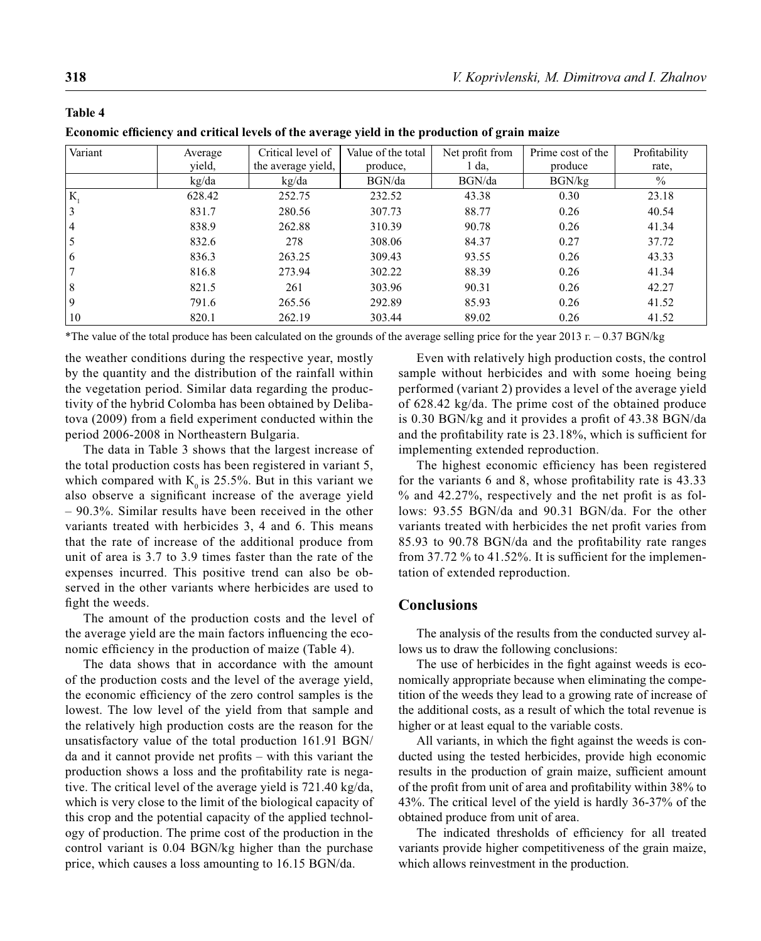**Table 4**

| Variant | Average<br>yield, | Critical level of<br>the average yield, | Value of the total<br>produce, | Net profit from<br>da. | Prime cost of the<br>produce | Profitability<br>rate. |
|---------|-------------------|-----------------------------------------|--------------------------------|------------------------|------------------------------|------------------------|
|         | kg/da             | kg/da                                   | BGN/da                         | BGN/da                 | BGN/kg                       | $\%$                   |
| К       | 628.42            | 252.75                                  | 232.52                         | 43.38                  | 0.30                         | 23.18                  |
| 3       | 831.7             | 280.56                                  | 307.73                         | 88.77                  | 0.26                         | 40.54                  |
| 4       | 838.9             | 262.88                                  | 310.39                         | 90.78                  | 0.26                         | 41.34                  |
| 5       | 832.6             | 278                                     | 308.06                         | 84.37                  | 0.27                         | 37.72                  |
| 6       | 836.3             | 263.25                                  | 309.43                         | 93.55                  | 0.26                         | 43.33                  |
|         | 816.8             | 273.94                                  | 302.22                         | 88.39                  | 0.26                         | 41.34                  |
| 8       | 821.5             | 261                                     | 303.96                         | 90.31                  | 0.26                         | 42.27                  |
| 9       | 791.6             | 265.56                                  | 292.89                         | 85.93                  | 0.26                         | 41.52                  |
| 10      | 820.1             | 262.19                                  | 303.44                         | 89.02                  | 0.26                         | 41.52                  |

Economic efficiency and critical levels of the average yield in the production of grain maize

\*The value of the total produce has been calculated on the grounds of the average selling price for the year 2013  $r = 0.37 BGN/kg$ 

the weather conditions during the respective year, mostly by the quantity and the distribution of the rainfall within the vegetation period. Similar data regarding the productivity of the hybrid Colomba has been obtained by Delibatova (2009) from a field experiment conducted within the period 2006-2008 in Northeastern Bulgaria.

The data in Table 3 shows that the largest increase of the total production costs has been registered in variant 5, which compared with  $K_0$  is 25.5%. But in this variant we also observe a significant increase of the average yield – 90.3%. Similar results have been received in the other variants treated with herbicides 3, 4 and 6. This means that the rate of increase of the additional produce from unit of area is 3.7 to 3.9 times faster than the rate of the expenses incurred. This positive trend can also be observed in the other variants where herbicides are used to fight the weeds.

The amount of the production costs and the level of the average yield are the main factors influencing the economic efficiency in the production of maize (Table 4).

The data shows that in accordance with the amount of the production costs and the level of the average yield, the economic efficiency of the zero control samples is the lowest. The low level of the yield from that sample and the relatively high production costs are the reason for the unsatisfactory value of the total production 161.91 BGN/ da and it cannot provide net profits – with this variant the production shows a loss and the profitability rate is negative. The critical level of the average yield is 721.40 kg/da, which is very close to the limit of the biological capacity of this crop and the potential capacity of the applied technology of production. The prime cost of the production in the control variant is 0.04 BGN/kg higher than the purchase price, which causes a loss amounting to 16.15 BGN/da.

Even with relatively high production costs, the control sample without herbicides and with some hoeing being performed (variant 2) provides a level of the average yield of 628.42 kg/da. The prime cost of the obtained produce is 0.30 BGN/kg and it provides a profit of 43.38 BGN/da and the profitability rate is  $23.18\%$ , which is sufficient for implementing extended reproduction.

The highest economic efficiency has been registered for the variants 6 and 8, whose profitability rate is 43.33  $%$  and 42.27%, respectively and the net profit is as follows: 93.55 BGN/da and 90.31 BGN/da. For the other variants treated with herbicides the net profit varies from 85.93 to 90.78 BGN/da and the profitability rate ranges from 37.72  $\%$  to 41.52%. It is sufficient for the implementation of extended reproduction.

## **Conclusions**

The analysis of the results from the conducted survey allows us to draw the following conclusions:

The use of herbicides in the fight against weeds is economically appropriate because when eliminating the competition of the weeds they lead to a growing rate of increase of the additional costs, as a result of which the total revenue is higher or at least equal to the variable costs.

All variants, in which the fight against the weeds is conducted using the tested herbicides, provide high economic results in the production of grain maize, sufficient amount of the profit from unit of area and profitability within 38% to 43%. The critical level of the yield is hardly 36-37% of the obtained produce from unit of area.

The indicated thresholds of efficiency for all treated variants provide higher competitiveness of the grain maize, which allows reinvestment in the production.